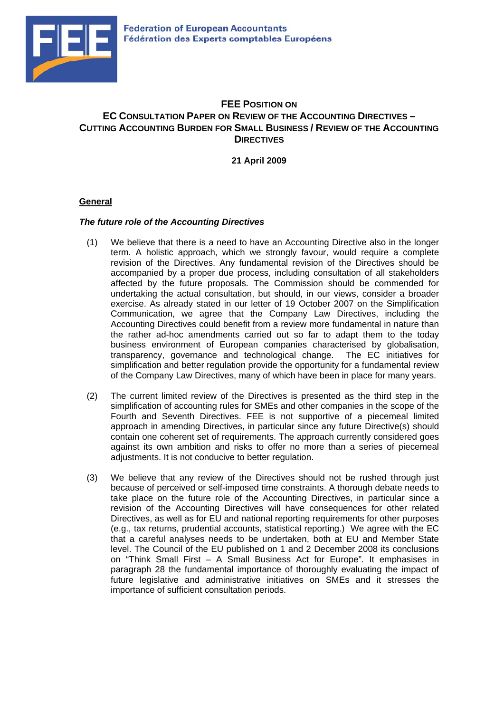

# **FEE POSITION ON EC CONSULTATION PAPER ON REVIEW OF THE ACCOUNTING DIRECTIVES – CUTTING ACCOUNTING BURDEN FOR SMALL BUSINESS / REVIEW OF THE ACCOUNTING DIRECTIVES**

**21 April 2009** 

## **General**

## *The future role of the Accounting Directives*

- (1) We believe that there is a need to have an Accounting Directive also in the longer term. A holistic approach, which we strongly favour, would require a complete revision of the Directives. Any fundamental revision of the Directives should be accompanied by a proper due process, including consultation of all stakeholders affected by the future proposals. The Commission should be commended for undertaking the actual consultation, but should, in our views, consider a broader exercise. As already stated in our letter of 19 October 2007 on the Simplification Communication, we agree that the Company Law Directives, including the Accounting Directives could benefit from a review more fundamental in nature than the rather ad-hoc amendments carried out so far to adapt them to the today business environment of European companies characterised by globalisation, transparency, governance and technological change. The EC initiatives for simplification and better regulation provide the opportunity for a fundamental review of the Company Law Directives, many of which have been in place for many years.
- (2) The current limited review of the Directives is presented as the third step in the simplification of accounting rules for SMEs and other companies in the scope of the Fourth and Seventh Directives. FEE is not supportive of a piecemeal limited approach in amending Directives, in particular since any future Directive(s) should contain one coherent set of requirements. The approach currently considered goes against its own ambition and risks to offer no more than a series of piecemeal adjustments. It is not conducive to better regulation.
- (3) We believe that any review of the Directives should not be rushed through just because of perceived or self-imposed time constraints. A thorough debate needs to take place on the future role of the Accounting Directives, in particular since a revision of the Accounting Directives will have consequences for other related Directives, as well as for EU and national reporting requirements for other purposes (e.g., tax returns, prudential accounts, statistical reporting.) We agree with the EC that a careful analyses needs to be undertaken, both at EU and Member State level. The Council of the EU published on 1 and 2 December 2008 its conclusions on "Think Small First – A Small Business Act for Europe". It emphasises in paragraph 28 the fundamental importance of thoroughly evaluating the impact of future legislative and administrative initiatives on SMEs and it stresses the importance of sufficient consultation periods.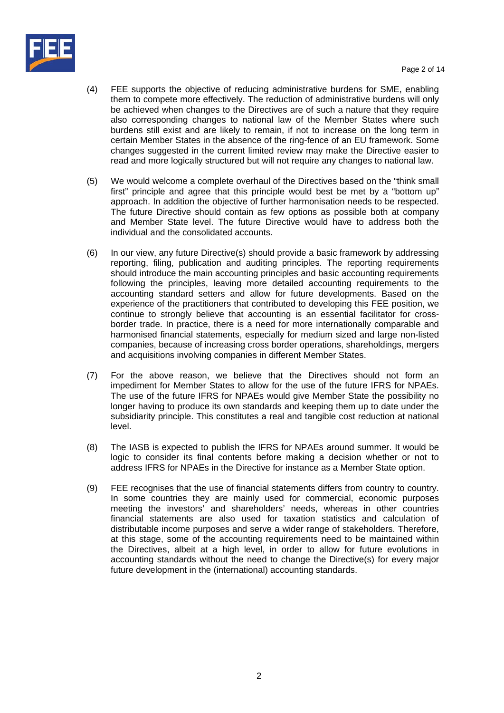

- (4) FEE supports the objective of reducing administrative burdens for SME, enabling them to compete more effectively. The reduction of administrative burdens will only be achieved when changes to the Directives are of such a nature that they require also corresponding changes to national law of the Member States where such burdens still exist and are likely to remain, if not to increase on the long term in certain Member States in the absence of the ring-fence of an EU framework. Some changes suggested in the current limited review may make the Directive easier to read and more logically structured but will not require any changes to national law.
- (5) We would welcome a complete overhaul of the Directives based on the "think small first" principle and agree that this principle would best be met by a "bottom up" approach. In addition the objective of further harmonisation needs to be respected. The future Directive should contain as few options as possible both at company and Member State level. The future Directive would have to address both the individual and the consolidated accounts.
- (6) In our view, any future Directive(s) should provide a basic framework by addressing reporting, filing, publication and auditing principles. The reporting requirements should introduce the main accounting principles and basic accounting requirements following the principles, leaving more detailed accounting requirements to the accounting standard setters and allow for future developments. Based on the experience of the practitioners that contributed to developing this FEE position, we continue to strongly believe that accounting is an essential facilitator for crossborder trade. In practice, there is a need for more internationally comparable and harmonised financial statements, especially for medium sized and large non-listed companies, because of increasing cross border operations, shareholdings, mergers and acquisitions involving companies in different Member States.
- (7) For the above reason, we believe that the Directives should not form an impediment for Member States to allow for the use of the future IFRS for NPAEs. The use of the future IFRS for NPAEs would give Member State the possibility no longer having to produce its own standards and keeping them up to date under the subsidiarity principle. This constitutes a real and tangible cost reduction at national level.
- (8) The IASB is expected to publish the IFRS for NPAEs around summer. It would be logic to consider its final contents before making a decision whether or not to address IFRS for NPAEs in the Directive for instance as a Member State option.
- (9) FEE recognises that the use of financial statements differs from country to country. In some countries they are mainly used for commercial, economic purposes meeting the investors' and shareholders' needs, whereas in other countries financial statements are also used for taxation statistics and calculation of distributable income purposes and serve a wider range of stakeholders. Therefore, at this stage, some of the accounting requirements need to be maintained within the Directives, albeit at a high level, in order to allow for future evolutions in accounting standards without the need to change the Directive(s) for every major future development in the (international) accounting standards.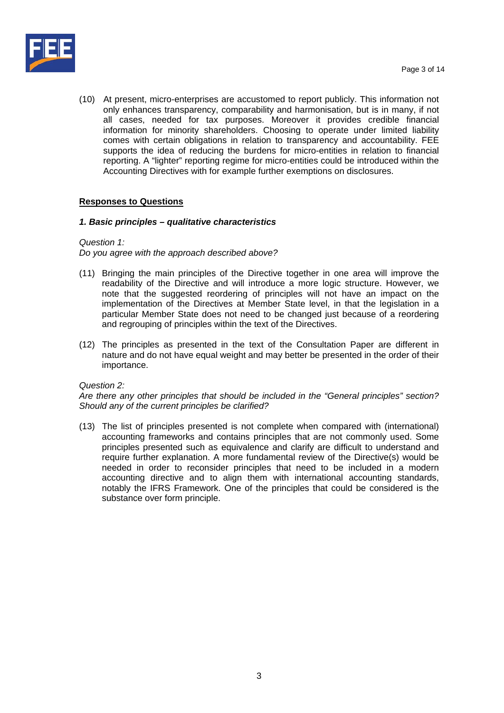

(10) At present, micro-enterprises are accustomed to report publicly. This information not only enhances transparency, comparability and harmonisation, but is in many, if not all cases, needed for tax purposes. Moreover it provides credible financial information for minority shareholders. Choosing to operate under limited liability comes with certain obligations in relation to transparency and accountability. FEE supports the idea of reducing the burdens for micro-entities in relation to financial reporting. A "lighter" reporting regime for micro-entities could be introduced within the Accounting Directives with for example further exemptions on disclosures.

## **Responses to Questions**

## *1. Basic principles – qualitative characteristics*

## *Question 1:*

*Do you agree with the approach described above?* 

- (11) Bringing the main principles of the Directive together in one area will improve the readability of the Directive and will introduce a more logic structure. However, we note that the suggested reordering of principles will not have an impact on the implementation of the Directives at Member State level, in that the legislation in a particular Member State does not need to be changed just because of a reordering and regrouping of principles within the text of the Directives.
- (12) The principles as presented in the text of the Consultation Paper are different in nature and do not have equal weight and may better be presented in the order of their importance.

## *Question 2:*

*Are there any other principles that should be included in the "General principles" section? Should any of the current principles be clarified?* 

(13) The list of principles presented is not complete when compared with (international) accounting frameworks and contains principles that are not commonly used. Some principles presented such as equivalence and clarify are difficult to understand and require further explanation. A more fundamental review of the Directive(s) would be needed in order to reconsider principles that need to be included in a modern accounting directive and to align them with international accounting standards, notably the IFRS Framework. One of the principles that could be considered is the substance over form principle.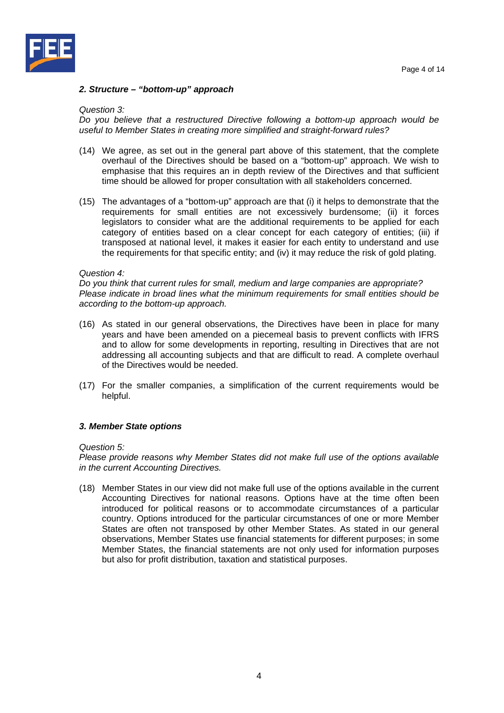

#### *2. Structure – "bottom-up" approach*

#### *Question 3:*

*Do you believe that a restructured Directive following a bottom-up approach would be useful to Member States in creating more simplified and straight-forward rules?* 

- (14) We agree, as set out in the general part above of this statement, that the complete overhaul of the Directives should be based on a "bottom-up" approach. We wish to emphasise that this requires an in depth review of the Directives and that sufficient time should be allowed for proper consultation with all stakeholders concerned.
- (15) The advantages of a "bottom-up" approach are that (i) it helps to demonstrate that the requirements for small entities are not excessively burdensome; (ii) it forces legislators to consider what are the additional requirements to be applied for each category of entities based on a clear concept for each category of entities; (iii) if transposed at national level, it makes it easier for each entity to understand and use the requirements for that specific entity; and (iv) it may reduce the risk of gold plating.

#### *Question 4:*

*Do you think that current rules for small, medium and large companies are appropriate? Please indicate in broad lines what the minimum requirements for small entities should be according to the bottom-up approach.* 

- (16) As stated in our general observations, the Directives have been in place for many years and have been amended on a piecemeal basis to prevent conflicts with IFRS and to allow for some developments in reporting, resulting in Directives that are not addressing all accounting subjects and that are difficult to read. A complete overhaul of the Directives would be needed.
- (17) For the smaller companies, a simplification of the current requirements would be helpful.

#### *3. Member State options*

#### *Question 5:*

*Please provide reasons why Member States did not make full use of the options available in the current Accounting Directives.* 

(18) Member States in our view did not make full use of the options available in the current Accounting Directives for national reasons. Options have at the time often been introduced for political reasons or to accommodate circumstances of a particular country. Options introduced for the particular circumstances of one or more Member States are often not transposed by other Member States. As stated in our general observations, Member States use financial statements for different purposes; in some Member States, the financial statements are not only used for information purposes but also for profit distribution, taxation and statistical purposes.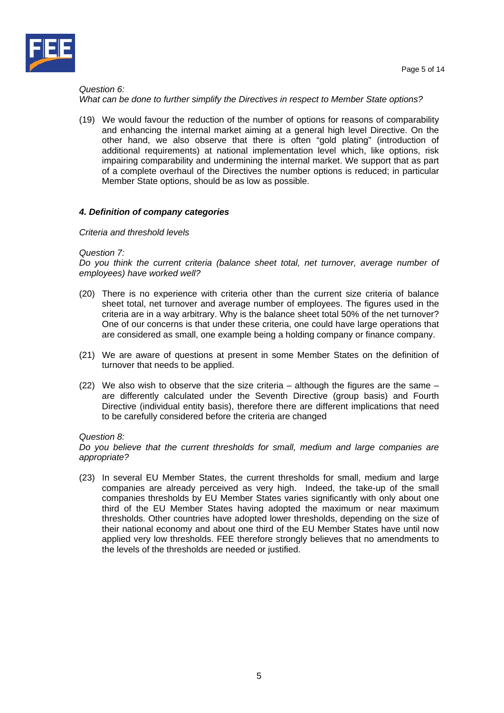



## *Question 6: What can be done to further simplify the Directives in respect to Member State options?*

(19) We would favour the reduction of the number of options for reasons of comparability and enhancing the internal market aiming at a general high level Directive. On the other hand, we also observe that there is often "gold plating" (introduction of additional requirements) at national implementation level which, like options, risk impairing comparability and undermining the internal market. We support that as part of a complete overhaul of the Directives the number options is reduced; in particular Member State options, should be as low as possible.

## *4. Definition of company categories*

## *Criteria and threshold levels*

#### *Question 7:*

*Do you think the current criteria (balance sheet total, net turnover, average number of employees) have worked well?* 

- (20) There is no experience with criteria other than the current size criteria of balance sheet total, net turnover and average number of employees. The figures used in the criteria are in a way arbitrary. Why is the balance sheet total 50% of the net turnover? One of our concerns is that under these criteria, one could have large operations that are considered as small, one example being a holding company or finance company.
- (21) We are aware of questions at present in some Member States on the definition of turnover that needs to be applied.
- (22) We also wish to observe that the size criteria although the figures are the same are differently calculated under the Seventh Directive (group basis) and Fourth Directive (individual entity basis), therefore there are different implications that need to be carefully considered before the criteria are changed

## *Question 8:*

*Do you believe that the current thresholds for small, medium and large companies are appropriate?* 

(23) In several EU Member States, the current thresholds for small, medium and large companies are already perceived as very high. Indeed, the take-up of the small companies thresholds by EU Member States varies significantly with only about one third of the EU Member States having adopted the maximum or near maximum thresholds. Other countries have adopted lower thresholds, depending on the size of their national economy and about one third of the EU Member States have until now applied very low thresholds. FEE therefore strongly believes that no amendments to the levels of the thresholds are needed or justified.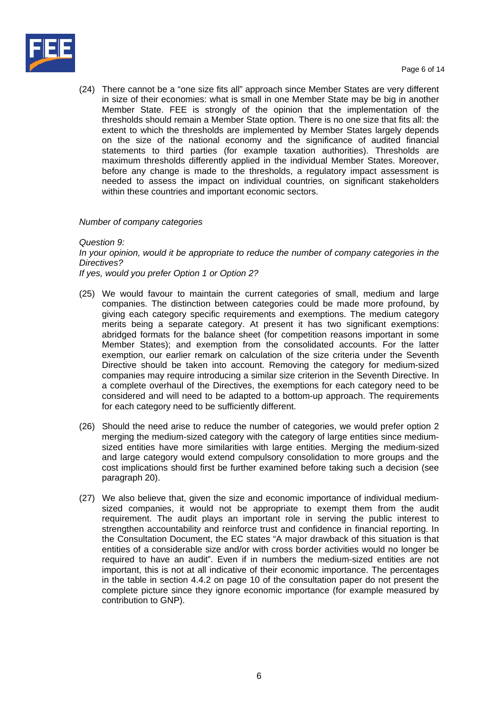

(24) There cannot be a "one size fits all" approach since Member States are very different in size of their economies: what is small in one Member State may be big in another Member State. FEE is strongly of the opinion that the implementation of the thresholds should remain a Member State option. There is no one size that fits all: the extent to which the thresholds are implemented by Member States largely depends on the size of the national economy and the significance of audited financial statements to third parties (for example taxation authorities). Thresholds are maximum thresholds differently applied in the individual Member States. Moreover, before any change is made to the thresholds, a regulatory impact assessment is needed to assess the impact on individual countries, on significant stakeholders within these countries and important economic sectors.

## *Number of company categories*

#### *Question 9:*

*In your opinion, would it be appropriate to reduce the number of company categories in the Directives?* 

*If yes, would you prefer Option 1 or Option 2?* 

- (25) We would favour to maintain the current categories of small, medium and large companies. The distinction between categories could be made more profound, by giving each category specific requirements and exemptions. The medium category merits being a separate category. At present it has two significant exemptions: abridged formats for the balance sheet (for competition reasons important in some Member States); and exemption from the consolidated accounts. For the latter exemption, our earlier remark on calculation of the size criteria under the Seventh Directive should be taken into account. Removing the category for medium-sized companies may require introducing a similar size criterion in the Seventh Directive. In a complete overhaul of the Directives, the exemptions for each category need to be considered and will need to be adapted to a bottom-up approach. The requirements for each category need to be sufficiently different.
- (26) Should the need arise to reduce the number of categories, we would prefer option 2 merging the medium-sized category with the category of large entities since mediumsized entities have more similarities with large entities. Merging the medium-sized and large category would extend compulsory consolidation to more groups and the cost implications should first be further examined before taking such a decision (see paragraph 20).
- (27) We also believe that, given the size and economic importance of individual mediumsized companies, it would not be appropriate to exempt them from the audit requirement. The audit plays an important role in serving the public interest to strengthen accountability and reinforce trust and confidence in financial reporting. In the Consultation Document, the EC states "A major drawback of this situation is that entities of a considerable size and/or with cross border activities would no longer be required to have an audit". Even if in numbers the medium-sized entities are not important, this is not at all indicative of their economic importance. The percentages in the table in section 4.4.2 on page 10 of the consultation paper do not present the complete picture since they ignore economic importance (for example measured by contribution to GNP).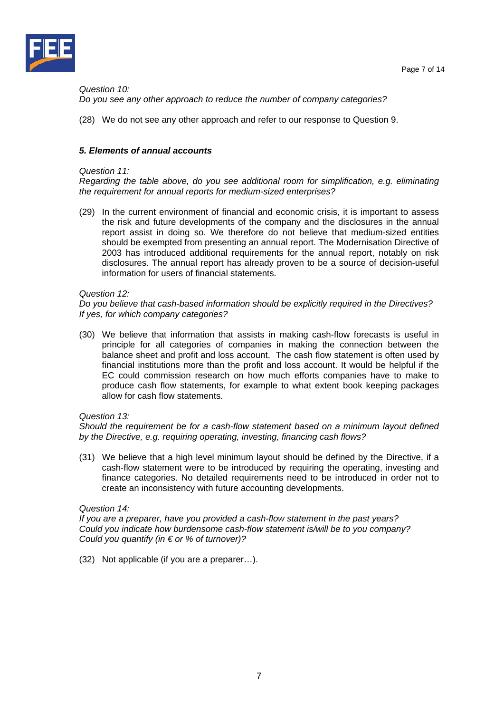

*Question 10: Do you see any other approach to reduce the number of company categories?* 

(28) We do not see any other approach and refer to our response to Question 9.

## *5. Elements of annual accounts*

#### *Question 11:*

*Regarding the table above, do you see additional room for simplification, e.g. eliminating the requirement for annual reports for medium-sized enterprises?* 

(29) In the current environment of financial and economic crisis, it is important to assess the risk and future developments of the company and the disclosures in the annual report assist in doing so. We therefore do not believe that medium-sized entities should be exempted from presenting an annual report. The Modernisation Directive of 2003 has introduced additional requirements for the annual report, notably on risk disclosures. The annual report has already proven to be a source of decision-useful information for users of financial statements.

#### *Question 12:*

*Do you believe that cash-based information should be explicitly required in the Directives? If yes, for which company categories?* 

(30) We believe that information that assists in making cash-flow forecasts is useful in principle for all categories of companies in making the connection between the balance sheet and profit and loss account. The cash flow statement is often used by financial institutions more than the profit and loss account. It would be helpful if the EC could commission research on how much efforts companies have to make to produce cash flow statements, for example to what extent book keeping packages allow for cash flow statements.

## *Question 13:*

*Should the requirement be for a cash-flow statement based on a minimum layout defined by the Directive, e.g. requiring operating, investing, financing cash flows?* 

(31) We believe that a high level minimum layout should be defined by the Directive, if a cash-flow statement were to be introduced by requiring the operating, investing and finance categories. No detailed requirements need to be introduced in order not to create an inconsistency with future accounting developments.

## *Question 14:*

*If you are a preparer, have you provided a cash-flow statement in the past years? Could you indicate how burdensome cash-flow statement is/will be to you company? Could you quantify (in € or % of turnover)?* 

(32) Not applicable (if you are a preparer…).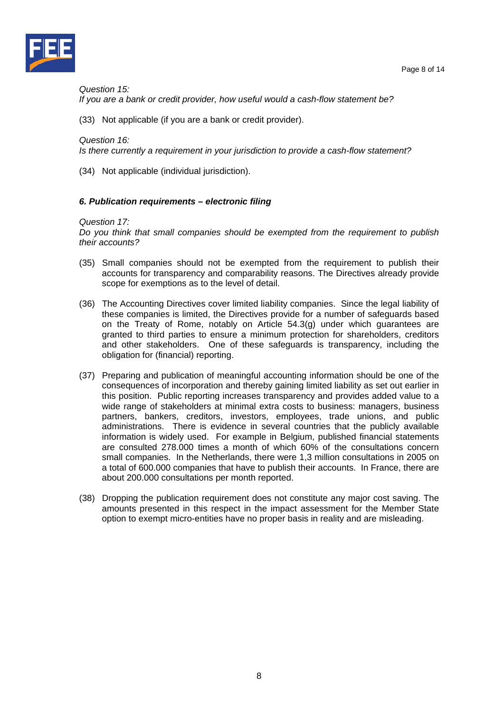



*Question 15:* 

*If you are a bank or credit provider, how useful would a cash-flow statement be?* 

(33) Not applicable (if you are a bank or credit provider).

#### *Question 16:*

*Is there currently a requirement in your jurisdiction to provide a cash-flow statement?* 

(34) Not applicable (individual jurisdiction).

#### *6. Publication requirements – electronic filing*

#### *Question 17:*

*Do you think that small companies should be exempted from the requirement to publish their accounts?* 

- (35) Small companies should not be exempted from the requirement to publish their accounts for transparency and comparability reasons. The Directives already provide scope for exemptions as to the level of detail.
- (36) The Accounting Directives cover limited liability companies. Since the legal liability of these companies is limited, the Directives provide for a number of safeguards based on the Treaty of Rome, notably on Article 54.3(g) under which guarantees are granted to third parties to ensure a minimum protection for shareholders, creditors and other stakeholders. One of these safeguards is transparency, including the obligation for (financial) reporting.
- (37) Preparing and publication of meaningful accounting information should be one of the consequences of incorporation and thereby gaining limited liability as set out earlier in this position. Public reporting increases transparency and provides added value to a wide range of stakeholders at minimal extra costs to business: managers, business partners, bankers, creditors, investors, employees, trade unions, and public administrations. There is evidence in several countries that the publicly available information is widely used. For example in Belgium, published financial statements are consulted 278.000 times a month of which 60% of the consultations concern small companies. In the Netherlands, there were 1,3 million consultations in 2005 on a total of 600.000 companies that have to publish their accounts. In France, there are about 200.000 consultations per month reported.
- (38) Dropping the publication requirement does not constitute any major cost saving. The amounts presented in this respect in the impact assessment for the Member State option to exempt micro-entities have no proper basis in reality and are misleading.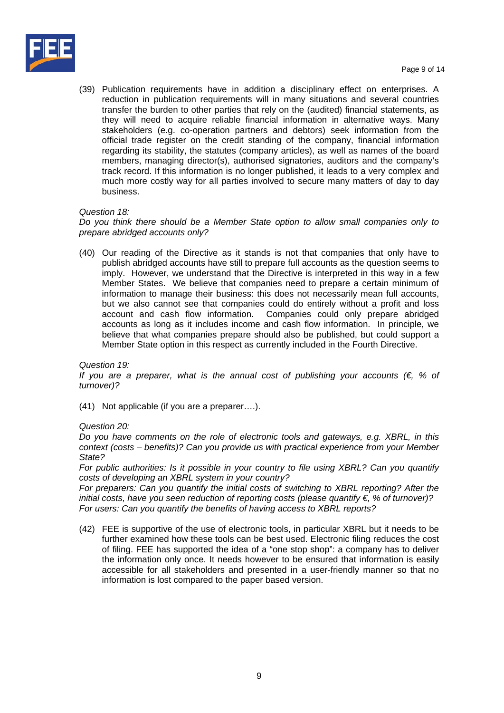

(39) Publication requirements have in addition a disciplinary effect on enterprises. A reduction in publication requirements will in many situations and several countries transfer the burden to other parties that rely on the (audited) financial statements, as they will need to acquire reliable financial information in alternative ways. Many stakeholders (e.g. co-operation partners and debtors) seek information from the official trade register on the credit standing of the company, financial information regarding its stability, the statutes (company articles), as well as names of the board members, managing director(s), authorised signatories, auditors and the company's track record. If this information is no longer published, it leads to a very complex and much more costly way for all parties involved to secure many matters of day to day business.

## *Question 18:*

*Do you think there should be a Member State option to allow small companies only to prepare abridged accounts only?* 

(40) Our reading of the Directive as it stands is not that companies that only have to publish abridged accounts have still to prepare full accounts as the question seems to imply. However, we understand that the Directive is interpreted in this way in a few Member States. We believe that companies need to prepare a certain minimum of information to manage their business: this does not necessarily mean full accounts, but we also cannot see that companies could do entirely without a profit and loss account and cash flow information. Companies could only prepare abridged accounts as long as it includes income and cash flow information. In principle, we believe that what companies prepare should also be published, but could support a Member State option in this respect as currently included in the Fourth Directive.

## *Question 19:*

*If you are a preparer, what is the annual cost of publishing your accounts (€, % of turnover)?* 

(41) Not applicable (if you are a preparer….).

#### *Question 20:*

*Do you have comments on the role of electronic tools and gateways, e.g. XBRL, in this context (costs – benefits)? Can you provide us with practical experience from your Member State?* 

*For public authorities: Is it possible in your country to file using XBRL? Can you quantify costs of developing an XBRL system in your country?* 

*For preparers: Can you quantify the initial costs of switching to XBRL reporting? After the initial costs, have you seen reduction of reporting costs (please quantify €, % of turnover)? For users: Can you quantify the benefits of having access to XBRL reports?* 

(42) FEE is supportive of the use of electronic tools, in particular XBRL but it needs to be further examined how these tools can be best used. Electronic filing reduces the cost of filing. FEE has supported the idea of a "one stop shop": a company has to deliver the information only once. It needs however to be ensured that information is easily accessible for all stakeholders and presented in a user-friendly manner so that no information is lost compared to the paper based version.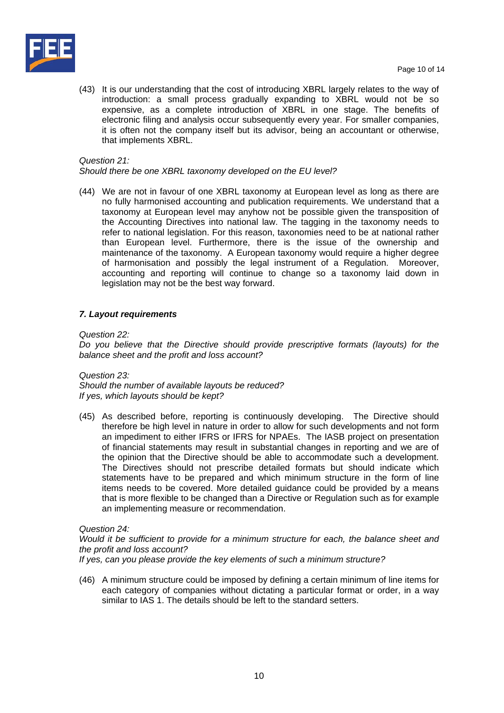

(43) It is our understanding that the cost of introducing XBRL largely relates to the way of introduction: a small process gradually expanding to XBRL would not be so expensive, as a complete introduction of XBRL in one stage. The benefits of electronic filing and analysis occur subsequently every year. For smaller companies, it is often not the company itself but its advisor, being an accountant or otherwise, that implements XBRL.

## *Question 21:*

*Should there be one XBRL taxonomy developed on the EU level?* 

(44) We are not in favour of one XBRL taxonomy at European level as long as there are no fully harmonised accounting and publication requirements. We understand that a taxonomy at European level may anyhow not be possible given the transposition of the Accounting Directives into national law. The tagging in the taxonomy needs to refer to national legislation. For this reason, taxonomies need to be at national rather than European level. Furthermore, there is the issue of the ownership and maintenance of the taxonomy. A European taxonomy would require a higher degree of harmonisation and possibly the legal instrument of a Regulation. Moreover, accounting and reporting will continue to change so a taxonomy laid down in legislation may not be the best way forward.

## *7. Layout requirements*

*Question 22:* 

*Do you believe that the Directive should provide prescriptive formats (layouts) for the balance sheet and the profit and loss account?* 

*Question 23: Should the number of available layouts be reduced? If yes, which layouts should be kept?* 

(45) As described before, reporting is continuously developing. The Directive should therefore be high level in nature in order to allow for such developments and not form an impediment to either IFRS or IFRS for NPAEs. The IASB project on presentation of financial statements may result in substantial changes in reporting and we are of the opinion that the Directive should be able to accommodate such a development. The Directives should not prescribe detailed formats but should indicate which statements have to be prepared and which minimum structure in the form of line items needs to be covered. More detailed guidance could be provided by a means that is more flexible to be changed than a Directive or Regulation such as for example an implementing measure or recommendation.

## *Question 24:*

*Would it be sufficient to provide for a minimum structure for each, the balance sheet and the profit and loss account?* 

*If yes, can you please provide the key elements of such a minimum structure?* 

(46) A minimum structure could be imposed by defining a certain minimum of line items for each category of companies without dictating a particular format or order, in a way similar to IAS 1. The details should be left to the standard setters.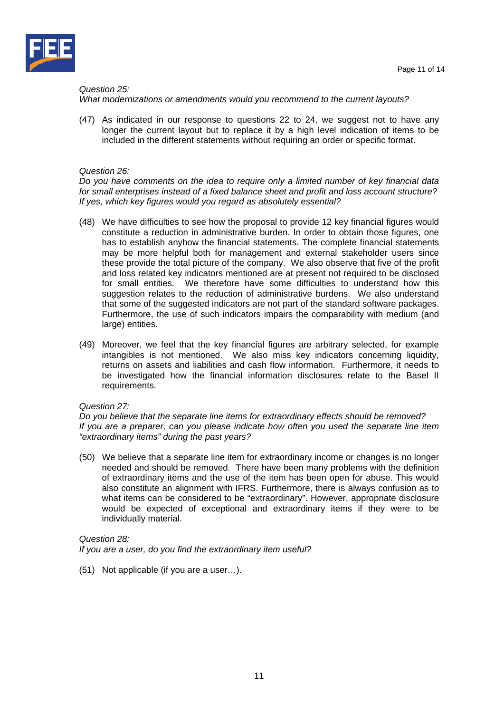



## *Question 25:*

## *What modernizations or amendments would you recommend to the current layouts?*

(47) As indicated in our response to questions 22 to 24, we suggest not to have any longer the current layout but to replace it by a high level indication of items to be included in the different statements without requiring an order or specific format.

## *Question 26:*

*Do you have comments on the idea to require only a limited number of key financial data for small enterprises instead of a fixed balance sheet and profit and loss account structure? If yes, which key figures would you regard as absolutely essential?* 

- (48) We have difficulties to see how the proposal to provide 12 key financial figures would constitute a reduction in administrative burden. In order to obtain those figures, one has to establish anyhow the financial statements. The complete financial statements may be more helpful both for management and external stakeholder users since these provide the total picture of the company. We also observe that five of the profit and loss related key indicators mentioned are at present not required to be disclosed for small entities. We therefore have some difficulties to understand how this suggestion relates to the reduction of administrative burdens. We also understand that some of the suggested indicators are not part of the standard software packages. Furthermore, the use of such indicators impairs the comparability with medium (and large) entities.
- (49) Moreover, we feel that the key financial figures are arbitrary selected, for example intangibles is not mentioned. We also miss key indicators concerning liquidity, returns on assets and liabilities and cash flow information. Furthermore, it needs to be investigated how the financial information disclosures relate to the Basel II requirements.

## *Question 27:*

*Do you believe that the separate line items for extraordinary effects should be removed? If you are a preparer, can you please indicate how often you used the separate line item "extraordinary items" during the past years?* 

(50) We believe that a separate line item for extraordinary income or changes is no longer needed and should be removed. There have been many problems with the definition of extraordinary items and the use of the item has been open for abuse. This would also constitute an alignment with IFRS. Furthermore, there is always confusion as to what items can be considered to be "extraordinary". However, appropriate disclosure would be expected of exceptional and extraordinary items if they were to be individually material.

## *Question 28: If you are a user, do you find the extraordinary item useful?*

(51) Not applicable (if you are a user…).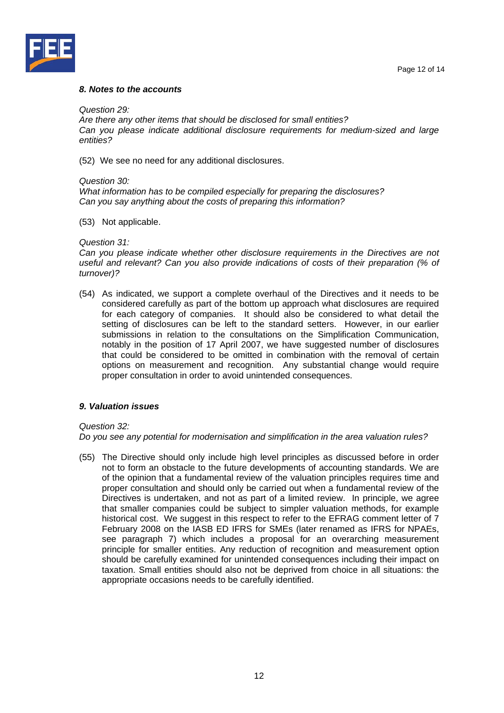



#### *8. Notes to the accounts*

*Question 29:* 

*Are there any other items that should be disclosed for small entities? Can you please indicate additional disclosure requirements for medium-sized and large entities?* 

(52) We see no need for any additional disclosures.

#### *Question 30:*

*What information has to be compiled especially for preparing the disclosures? Can you say anything about the costs of preparing this information?* 

(53) Not applicable.

#### *Question 31:*

*Can you please indicate whether other disclosure requirements in the Directives are not useful and relevant? Can you also provide indications of costs of their preparation (% of turnover)?* 

(54) As indicated, we support a complete overhaul of the Directives and it needs to be considered carefully as part of the bottom up approach what disclosures are required for each category of companies. It should also be considered to what detail the setting of disclosures can be left to the standard setters. However, in our earlier submissions in relation to the consultations on the Simplification Communication, notably in the position of 17 April 2007, we have suggested number of disclosures that could be considered to be omitted in combination with the removal of certain options on measurement and recognition. Any substantial change would require proper consultation in order to avoid unintended consequences.

## *9. Valuation issues*

## *Question 32:*

*Do you see any potential for modernisation and simplification in the area valuation rules?* 

(55) The Directive should only include high level principles as discussed before in order not to form an obstacle to the future developments of accounting standards. We are of the opinion that a fundamental review of the valuation principles requires time and proper consultation and should only be carried out when a fundamental review of the Directives is undertaken, and not as part of a limited review. In principle, we agree that smaller companies could be subject to simpler valuation methods, for example historical cost. We suggest in this respect to refer to the EFRAG comment letter of 7 February 2008 on the IASB ED IFRS for SMEs (later renamed as IFRS for NPAEs, see paragraph 7) which includes a proposal for an overarching measurement principle for smaller entities. Any reduction of recognition and measurement option should be carefully examined for unintended consequences including their impact on taxation. Small entities should also not be deprived from choice in all situations: the appropriate occasions needs to be carefully identified.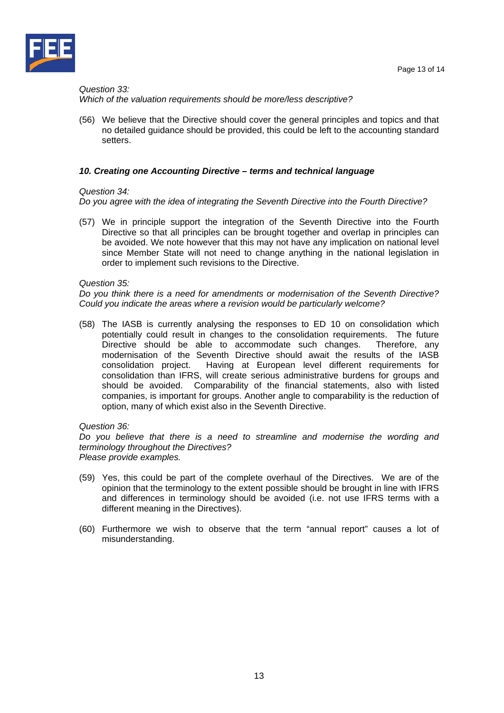

## *Question 33: Which of the valuation requirements should be more/less descriptive?*

(56) We believe that the Directive should cover the general principles and topics and that no detailed guidance should be provided, this could be left to the accounting standard setters.

## *10. Creating one Accounting Directive – terms and technical language*

## *Question 34:*

*Do you agree with the idea of integrating the Seventh Directive into the Fourth Directive?* 

(57) We in principle support the integration of the Seventh Directive into the Fourth Directive so that all principles can be brought together and overlap in principles can be avoided. We note however that this may not have any implication on national level since Member State will not need to change anything in the national legislation in order to implement such revisions to the Directive.

#### *Question 35:*

*Do you think there is a need for amendments or modernisation of the Seventh Directive? Could you indicate the areas where a revision would be particularly welcome?* 

(58) The IASB is currently analysing the responses to ED 10 on consolidation which potentially could result in changes to the consolidation requirements. The future Directive should be able to accommodate such changes. Therefore, any modernisation of the Seventh Directive should await the results of the IASB consolidation project. Having at European level different requirements for consolidation than IFRS, will create serious administrative burdens for groups and should be avoided. Comparability of the financial statements, also with listed companies, is important for groups. Another angle to comparability is the reduction of option, many of which exist also in the Seventh Directive.

#### *Question 36:*

*Do you believe that there is a need to streamline and modernise the wording and terminology throughout the Directives? Please provide examples.* 

- (59) Yes, this could be part of the complete overhaul of the Directives. We are of the opinion that the terminology to the extent possible should be brought in line with IFRS and differences in terminology should be avoided (i.e. not use IFRS terms with a different meaning in the Directives).
- (60) Furthermore we wish to observe that the term "annual report" causes a lot of misunderstanding.